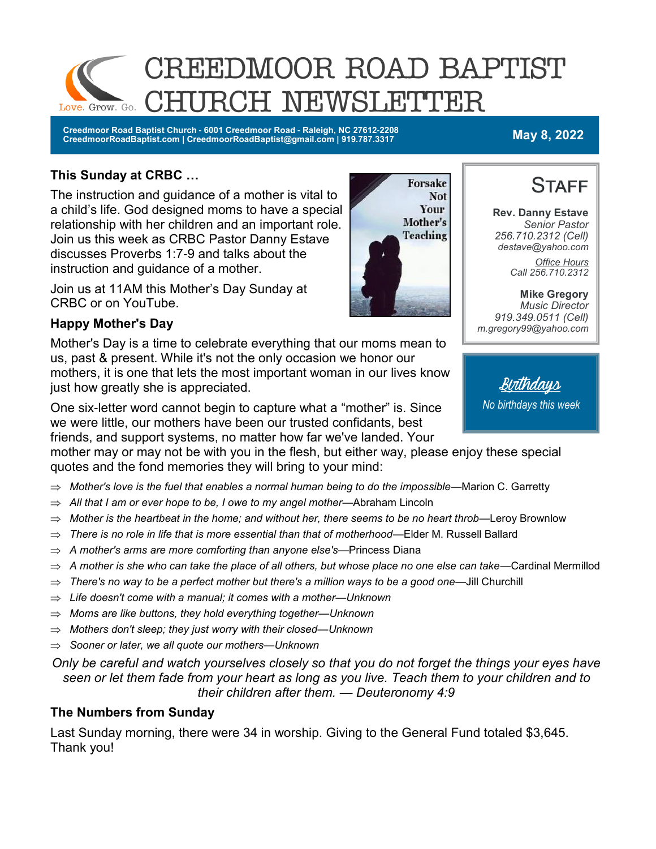

**Creedmoor Road Baptist Church - 6001 Creedmoor Road - Raleigh, NC 27612-2208 CreedmoorRoadBaptist.com | CreedmoorRoadBaptist@gmail.com | 919.787.3317 May 8, 2022**

#### **This Sunday at CRBC …**

The instruction and guidance of a mother is vital to a child's life. God designed moms to have a special relationship with her children and an important role. Join us this week as CRBC Pastor Danny Estave discusses Proverbs 1:7-9 and talks about the instruction and guidance of a mother.

Join us at 11AM this Mother's Day Sunday at CRBC or on YouTube.

#### **Happy Mother's Day**

Mother's Day is a time to celebrate everything that our moms mean to us, past & present. While it's not the only occasion we honor our mothers, it is one that lets the most important woman in our lives know just how greatly she is appreciated.

One six-letter word cannot begin to capture what a "mother" is. Since we were little, our mothers have been our trusted confidants, best friends, and support systems, no matter how far we've landed. Your

mother may or may not be with you in the flesh, but either way, please enjoy these special quotes and the fond memories they will bring to your mind:

- *Mother's love is the fuel that enables a normal human being to do the impossible—*Marion C. Garretty
- *All that I am or ever hope to be, I owe to my angel mother—*Abraham Lincoln
- *Mother is the heartbeat in the home; and without her, there seems to be no heart throb—*Leroy Brownlow
- *There is no role in life that is more essential than that of motherhood—*Elder M. Russell Ballard
- *A mother's arms are more comforting than anyone else's—*Princess Diana
- *A mother is she who can take the place of all others, but whose place no one else can take—*Cardinal Mermillod
- *There's no way to be a perfect mother but there's a million ways to be a good one—*Jill Churchill
- *Life doesn't come with a manual; it comes with a mother—Unknown*
- *Moms are like buttons, they hold everything together—Unknown*
- *Mothers don't sleep; they just worry with their closed—Unknown*
- *Sooner or later, we all quote our mothers—Unknown*

*Only be careful and watch yourselves closely so that you do not forget the things your eyes have seen or let them fade from your heart as long as you live. Teach them to your children and to their children after them. — Deuteronomy 4:9*

#### **The Numbers from Sunday**

Last Sunday morning, there were 34 in worship. Giving to the General Fund totaled \$3,645. Thank you!





**Rev. Danny Estave** *Senior Pastor 256.710.2312 (Cell) destave@yahoo.com Office Hours Call 256.710.2312* 

**Mike Gregory** *Music Director 919.349.0511 (Cell) m.gregory99@yahoo.com*